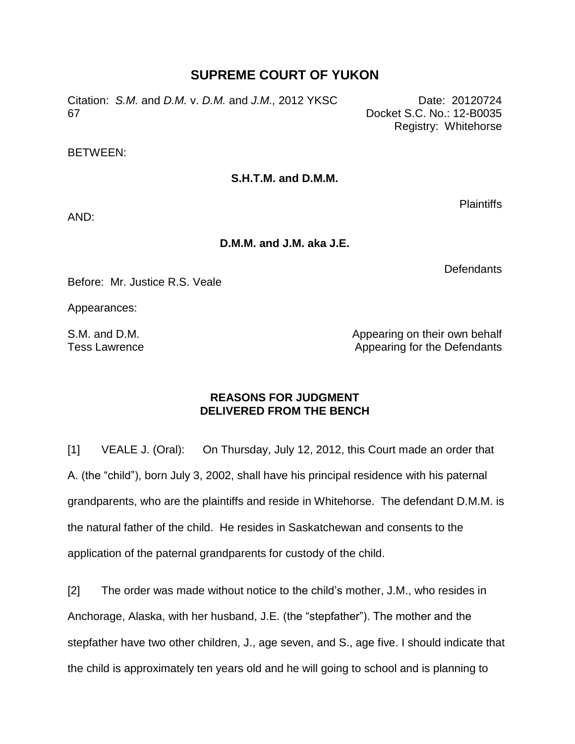## **SUPREME COURT OF YUKON**

Citation: *S.M.* and *D.M.* v. *D.M.* and *J.M.,* 2012 YKSC 67

Date: 20120724 Docket S.C. No.: 12-B0035 Registry: Whitehorse

#### BETWEEN:

#### **S.H.T.M. and D.M.M.**

Plaintiffs

AND:

**D.M.M. and J.M. aka J.E.**

**Defendants** 

Before: Mr. Justice R.S. Veale

Appearances:

S.M. and D.M. Tess Lawrence Appearing on their own behalf Appearing for the Defendants

### **REASONS FOR JUDGMENT DELIVERED FROM THE BENCH**

[1] VEALE J. (Oral): On Thursday, July 12, 2012, this Court made an order that A. (the "child"), born July 3, 2002, shall have his principal residence with his paternal grandparents, who are the plaintiffs and reside in Whitehorse. The defendant D.M.M. is the natural father of the child. He resides in Saskatchewan and consents to the application of the paternal grandparents for custody of the child.

[2] The order was made without notice to the child's mother, J.M., who resides in Anchorage, Alaska, with her husband, J.E. (the "stepfather"). The mother and the stepfather have two other children, J., age seven, and S., age five. I should indicate that the child is approximately ten years old and he will going to school and is planning to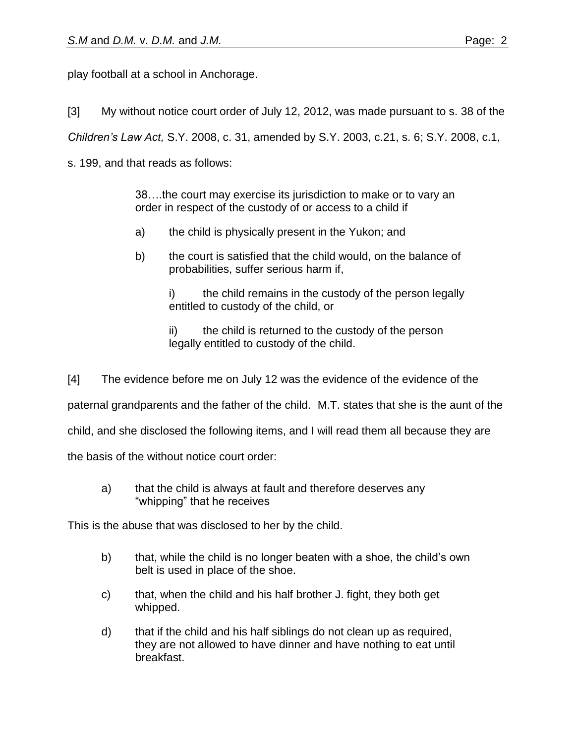play football at a school in Anchorage.

[3] My without notice court order of July 12, 2012, was made pursuant to s. 38 of the

*Children's Law Act,* S.Y. 2008, c. 31, amended by S.Y. 2003, c.21, s. 6; S.Y. 2008, c.1,

s. 199, and that reads as follows:

38….the court may exercise its jurisdiction to make or to vary an order in respect of the custody of or access to a child if

- a) the child is physically present in the Yukon; and
- b) the court is satisfied that the child would, on the balance of probabilities, suffer serious harm if,

i) the child remains in the custody of the person legally entitled to custody of the child, or

ii) the child is returned to the custody of the person legally entitled to custody of the child.

[4] The evidence before me on July 12 was the evidence of the evidence of the

paternal grandparents and the father of the child. M.T. states that she is the aunt of the

child, and she disclosed the following items, and I will read them all because they are

the basis of the without notice court order:

a) that the child is always at fault and therefore deserves any "whipping" that he receives

This is the abuse that was disclosed to her by the child.

- b) that, while the child is no longer beaten with a shoe, the child's own belt is used in place of the shoe.
- c) that, when the child and his half brother J. fight, they both get whipped.
- d) that if the child and his half siblings do not clean up as required, they are not allowed to have dinner and have nothing to eat until breakfast.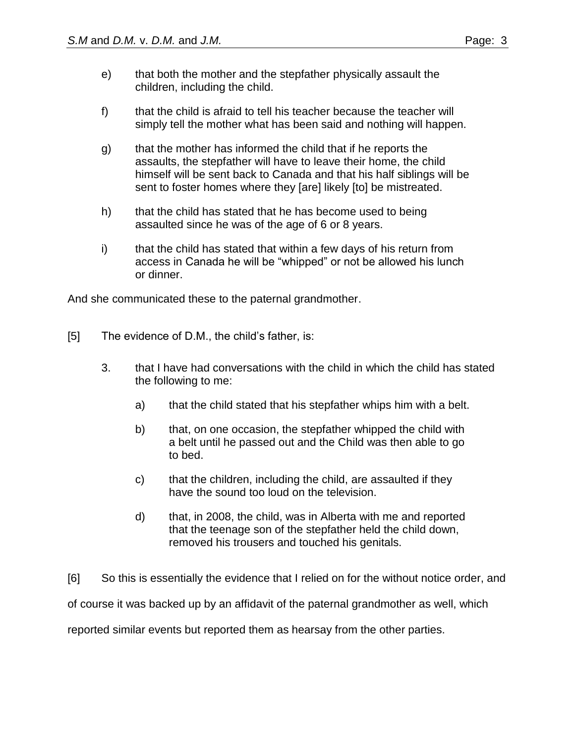- e) that both the mother and the stepfather physically assault the children, including the child.
- f) that the child is afraid to tell his teacher because the teacher will simply tell the mother what has been said and nothing will happen.
- g) that the mother has informed the child that if he reports the assaults, the stepfather will have to leave their home, the child himself will be sent back to Canada and that his half siblings will be sent to foster homes where they [are] likely [to] be mistreated.
- h) that the child has stated that he has become used to being assaulted since he was of the age of 6 or 8 years.
- i) that the child has stated that within a few days of his return from access in Canada he will be "whipped" or not be allowed his lunch or dinner.

And she communicated these to the paternal grandmother.

- [5] The evidence of D.M., the child's father, is:
	- 3. that I have had conversations with the child in which the child has stated the following to me:
		- a) that the child stated that his stepfather whips him with a belt.
		- b) that, on one occasion, the stepfather whipped the child with a belt until he passed out and the Child was then able to go to bed.
		- c) that the children, including the child, are assaulted if they have the sound too loud on the television.
		- d) that, in 2008, the child, was in Alberta with me and reported that the teenage son of the stepfather held the child down, removed his trousers and touched his genitals.

[6] So this is essentially the evidence that I relied on for the without notice order, and of course it was backed up by an affidavit of the paternal grandmother as well, which reported similar events but reported them as hearsay from the other parties.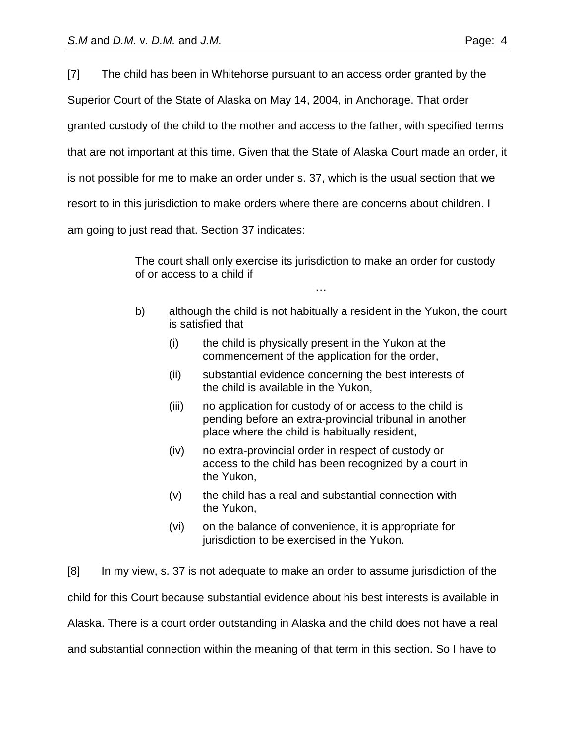[7] The child has been in Whitehorse pursuant to an access order granted by the

Superior Court of the State of Alaska on May 14, 2004, in Anchorage. That order

granted custody of the child to the mother and access to the father, with specified terms

that are not important at this time. Given that the State of Alaska Court made an order, it

is not possible for me to make an order under s. 37, which is the usual section that we

resort to in this jurisdiction to make orders where there are concerns about children. I

am going to just read that. Section 37 indicates:

The court shall only exercise its jurisdiction to make an order for custody of or access to a child if

b) although the child is not habitually a resident in the Yukon, the court is satisfied that

…

- (i) the child is physically present in the Yukon at the commencement of the application for the order,
- (ii) substantial evidence concerning the best interests of the child is available in the Yukon,
- (iii) no application for custody of or access to the child is pending before an extra-provincial tribunal in another place where the child is habitually resident,
- (iv) no extra-provincial order in respect of custody or access to the child has been recognized by a court in the Yukon,
- (v) the child has a real and substantial connection with the Yukon,
- (vi) on the balance of convenience, it is appropriate for jurisdiction to be exercised in the Yukon.

[8] In my view, s. 37 is not adequate to make an order to assume jurisdiction of the child for this Court because substantial evidence about his best interests is available in Alaska. There is a court order outstanding in Alaska and the child does not have a real and substantial connection within the meaning of that term in this section. So I have to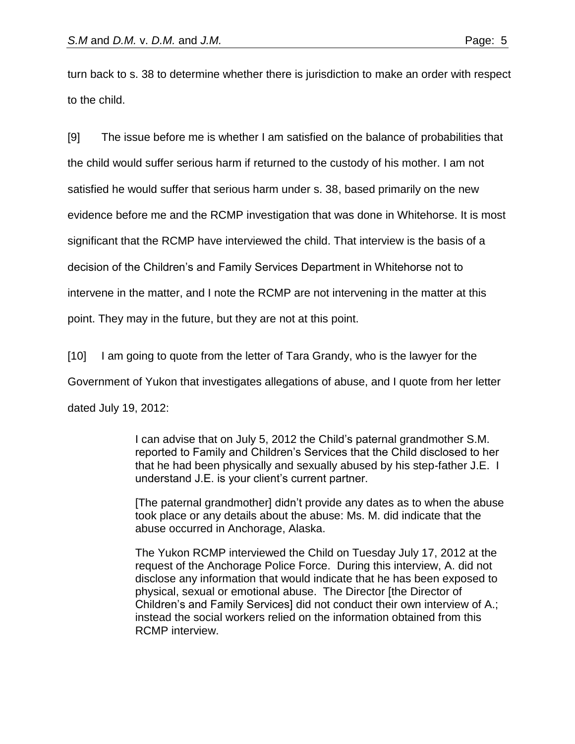turn back to s. 38 to determine whether there is jurisdiction to make an order with respect to the child.

[9] The issue before me is whether I am satisfied on the balance of probabilities that the child would suffer serious harm if returned to the custody of his mother. I am not satisfied he would suffer that serious harm under s. 38, based primarily on the new evidence before me and the RCMP investigation that was done in Whitehorse. It is most significant that the RCMP have interviewed the child. That interview is the basis of a decision of the Children's and Family Services Department in Whitehorse not to intervene in the matter, and I note the RCMP are not intervening in the matter at this point. They may in the future, but they are not at this point.

[10] I am going to quote from the letter of Tara Grandy, who is the lawyer for the Government of Yukon that investigates allegations of abuse, and I quote from her letter dated July 19, 2012:

> I can advise that on July 5, 2012 the Child's paternal grandmother S.M. reported to Family and Children's Services that the Child disclosed to her that he had been physically and sexually abused by his step-father J.E. I understand J.E. is your client's current partner.

> [The paternal grandmother] didn't provide any dates as to when the abuse took place or any details about the abuse: Ms. M. did indicate that the abuse occurred in Anchorage, Alaska.

The Yukon RCMP interviewed the Child on Tuesday July 17, 2012 at the request of the Anchorage Police Force. During this interview, A. did not disclose any information that would indicate that he has been exposed to physical, sexual or emotional abuse. The Director [the Director of Children's and Family Services] did not conduct their own interview of A.; instead the social workers relied on the information obtained from this RCMP interview.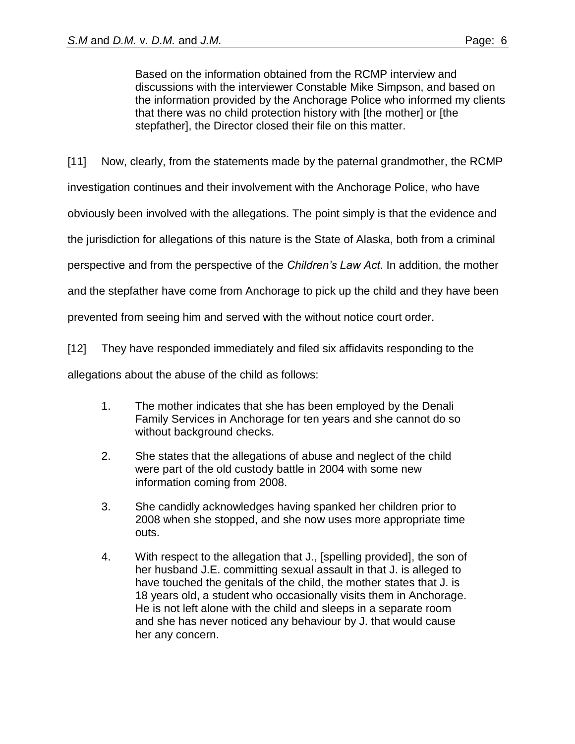Based on the information obtained from the RCMP interview and discussions with the interviewer Constable Mike Simpson, and based on the information provided by the Anchorage Police who informed my clients that there was no child protection history with [the mother] or [the stepfather], the Director closed their file on this matter.

[11] Now, clearly, from the statements made by the paternal grandmother, the RCMP

investigation continues and their involvement with the Anchorage Police, who have

obviously been involved with the allegations. The point simply is that the evidence and

the jurisdiction for allegations of this nature is the State of Alaska, both from a criminal

perspective and from the perspective of the *Children's Law Act*. In addition, the mother

and the stepfather have come from Anchorage to pick up the child and they have been

prevented from seeing him and served with the without notice court order.

[12] They have responded immediately and filed six affidavits responding to the

allegations about the abuse of the child as follows:

- 1. The mother indicates that she has been employed by the Denali Family Services in Anchorage for ten years and she cannot do so without background checks.
- 2. She states that the allegations of abuse and neglect of the child were part of the old custody battle in 2004 with some new information coming from 2008.
- 3. She candidly acknowledges having spanked her children prior to 2008 when she stopped, and she now uses more appropriate time outs.
- 4. With respect to the allegation that J., [spelling provided], the son of her husband J.E. committing sexual assault in that J. is alleged to have touched the genitals of the child, the mother states that J. is 18 years old, a student who occasionally visits them in Anchorage. He is not left alone with the child and sleeps in a separate room and she has never noticed any behaviour by J. that would cause her any concern.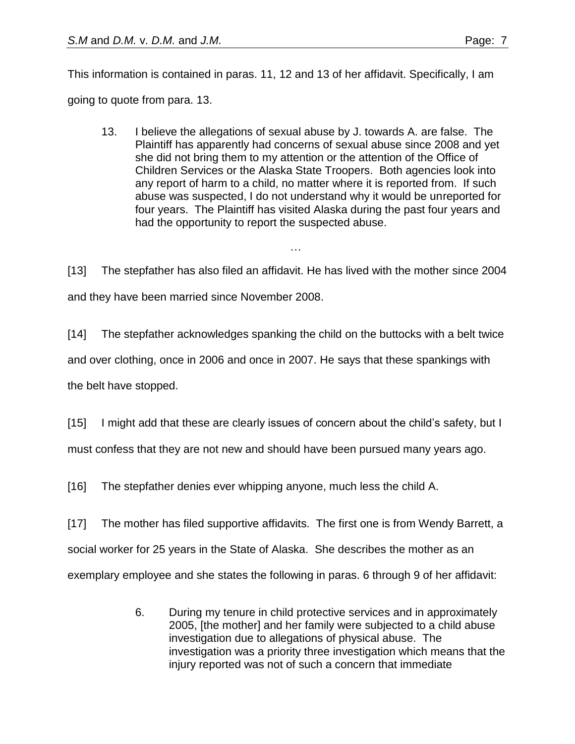13. I believe the allegations of sexual abuse by J. towards A. are false. The Plaintiff has apparently had concerns of sexual abuse since 2008 and yet she did not bring them to my attention or the attention of the Office of Children Services or the Alaska State Troopers. Both agencies look into any report of harm to a child, no matter where it is reported from. If such abuse was suspected, I do not understand why it would be unreported for four years. The Plaintiff has visited Alaska during the past four years and had the opportunity to report the suspected abuse.

[13] The stepfather has also filed an affidavit. He has lived with the mother since 2004 and they have been married since November 2008.

…

[14] The stepfather acknowledges spanking the child on the buttocks with a belt twice and over clothing, once in 2006 and once in 2007. He says that these spankings with the belt have stopped.

[15] I might add that these are clearly issues of concern about the child's safety, but I must confess that they are not new and should have been pursued many years ago.

[16] The stepfather denies ever whipping anyone, much less the child A.

[17] The mother has filed supportive affidavits. The first one is from Wendy Barrett, a social worker for 25 years in the State of Alaska. She describes the mother as an exemplary employee and she states the following in paras. 6 through 9 of her affidavit:

> 6. During my tenure in child protective services and in approximately 2005, [the mother] and her family were subjected to a child abuse investigation due to allegations of physical abuse. The investigation was a priority three investigation which means that the injury reported was not of such a concern that immediate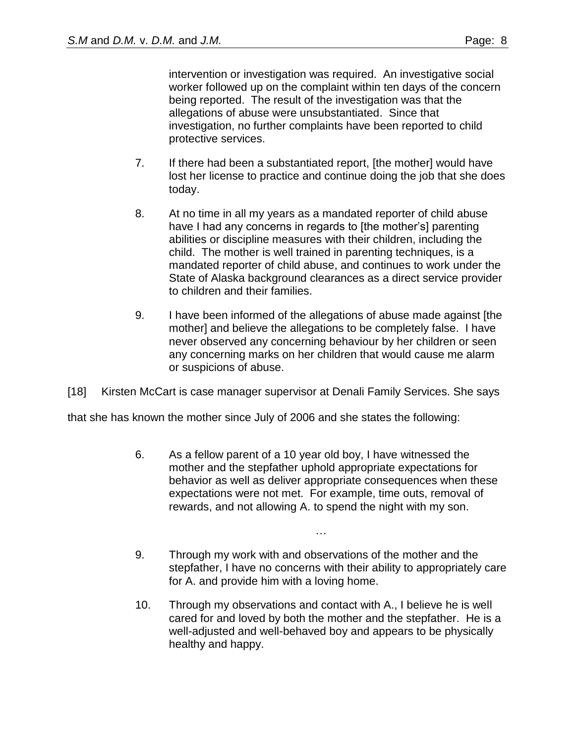intervention or investigation was required. An investigative social worker followed up on the complaint within ten days of the concern being reported. The result of the investigation was that the allegations of abuse were unsubstantiated. Since that investigation, no further complaints have been reported to child protective services.

- 7. If there had been a substantiated report, [the mother] would have lost her license to practice and continue doing the job that she does today.
- 8. At no time in all my years as a mandated reporter of child abuse have I had any concerns in regards to [the mother's] parenting abilities or discipline measures with their children, including the child. The mother is well trained in parenting techniques, is a mandated reporter of child abuse, and continues to work under the State of Alaska background clearances as a direct service provider to children and their families.
- 9. I have been informed of the allegations of abuse made against [the mother] and believe the allegations to be completely false. I have never observed any concerning behaviour by her children or seen any concerning marks on her children that would cause me alarm or suspicions of abuse.

[18] Kirsten McCart is case manager supervisor at Denali Family Services. She says

that she has known the mother since July of 2006 and she states the following:

- 6. As a fellow parent of a 10 year old boy, I have witnessed the mother and the stepfather uphold appropriate expectations for behavior as well as deliver appropriate consequences when these expectations were not met. For example, time outs, removal of rewards, and not allowing A. to spend the night with my son.
- 9. Through my work with and observations of the mother and the stepfather, I have no concerns with their ability to appropriately care for A. and provide him with a loving home.

…

10. Through my observations and contact with A., I believe he is well cared for and loved by both the mother and the stepfather. He is a well-adjusted and well-behaved boy and appears to be physically healthy and happy.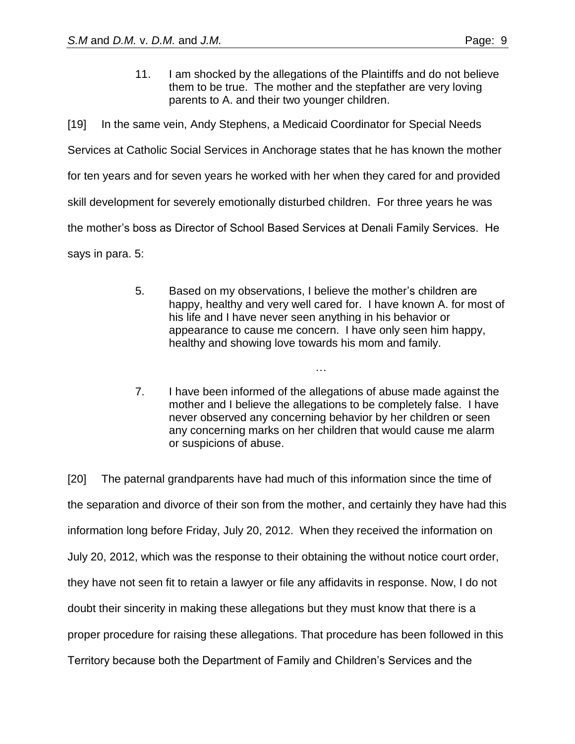11. I am shocked by the allegations of the Plaintiffs and do not believe them to be true. The mother and the stepfather are very loving parents to A. and their two younger children.

[19] In the same vein, Andy Stephens, a Medicaid Coordinator for Special Needs Services at Catholic Social Services in Anchorage states that he has known the mother for ten years and for seven years he worked with her when they cared for and provided skill development for severely emotionally disturbed children. For three years he was the mother's boss as Director of School Based Services at Denali Family Services. He says in para. 5:

> 5. Based on my observations, I believe the mother's children are happy, healthy and very well cared for. I have known A. for most of his life and I have never seen anything in his behavior or appearance to cause me concern. I have only seen him happy, healthy and showing love towards his mom and family.

> > …

7. I have been informed of the allegations of abuse made against the mother and I believe the allegations to be completely false. I have never observed any concerning behavior by her children or seen any concerning marks on her children that would cause me alarm or suspicions of abuse.

[20] The paternal grandparents have had much of this information since the time of the separation and divorce of their son from the mother, and certainly they have had this information long before Friday, July 20, 2012. When they received the information on July 20, 2012, which was the response to their obtaining the without notice court order, they have not seen fit to retain a lawyer or file any affidavits in response. Now, I do not doubt their sincerity in making these allegations but they must know that there is a proper procedure for raising these allegations. That procedure has been followed in this Territory because both the Department of Family and Children's Services and the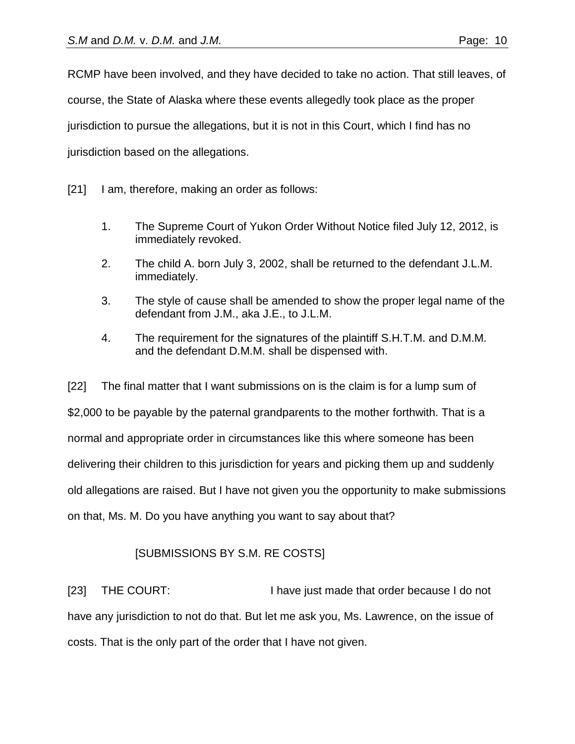RCMP have been involved, and they have decided to take no action. That still leaves, of course, the State of Alaska where these events allegedly took place as the proper jurisdiction to pursue the allegations, but it is not in this Court, which I find has no jurisdiction based on the allegations.

[21] I am, therefore, making an order as follows:

- 1. The Supreme Court of Yukon Order Without Notice filed July 12, 2012, is immediately revoked.
- 2. The child A. born July 3, 2002, shall be returned to the defendant J.L.M. immediately.
- 3. The style of cause shall be amended to show the proper legal name of the defendant from J.M., aka J.E., to J.L.M.
- 4. The requirement for the signatures of the plaintiff S.H.T.M. and D.M.M. and the defendant D.M.M. shall be dispensed with.

[22] The final matter that I want submissions on is the claim is for a lump sum of \$2,000 to be payable by the paternal grandparents to the mother forthwith. That is a normal and appropriate order in circumstances like this where someone has been delivering their children to this jurisdiction for years and picking them up and suddenly old allegations are raised. But I have not given you the opportunity to make submissions on that, Ms. M. Do you have anything you want to say about that?

# [SUBMISSIONS BY S.M. RE COSTS]

[23] THE COURT: I have just made that order because I do not have any jurisdiction to not do that. But let me ask you, Ms. Lawrence, on the issue of costs. That is the only part of the order that I have not given.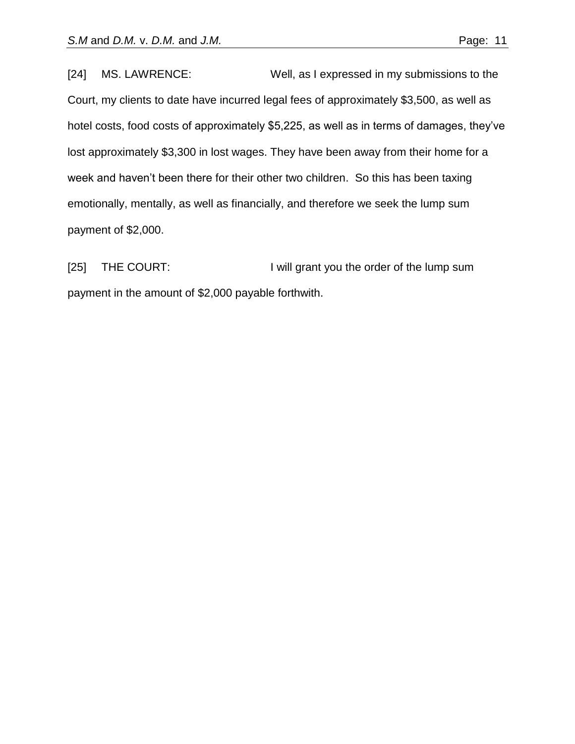[24] MS. LAWRENCE: Well, as I expressed in my submissions to the Court, my clients to date have incurred legal fees of approximately \$3,500, as well as hotel costs, food costs of approximately \$5,225, as well as in terms of damages, they've lost approximately \$3,300 in lost wages. They have been away from their home for a week and haven't been there for their other two children. So this has been taxing emotionally, mentally, as well as financially, and therefore we seek the lump sum payment of \$2,000.

[25] THE COURT: I will grant you the order of the lump sum payment in the amount of \$2,000 payable forthwith.